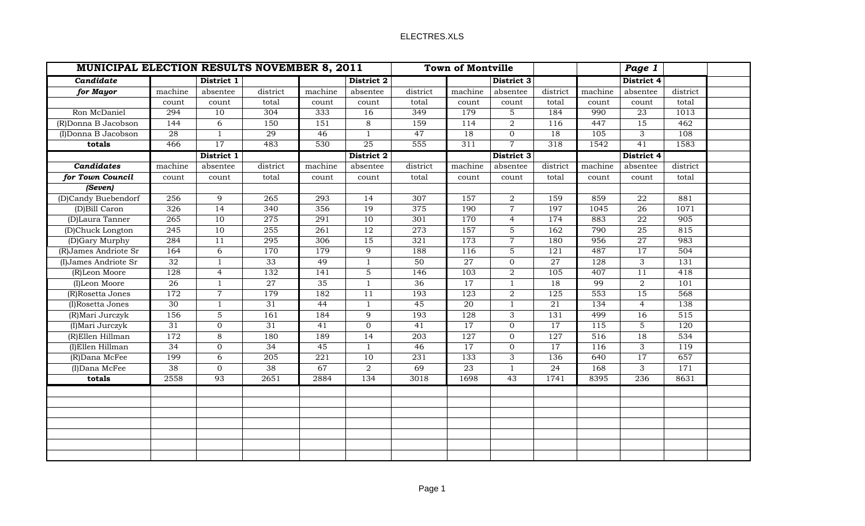| MUNICIPAL ELECTION RESULTS NOVEMBER 8, 2011 |                 |                 |          |                 |                 |                 | <b>Town of Montville</b><br>Page 1 |                 |                  |         |                  |          |  |
|---------------------------------------------|-----------------|-----------------|----------|-----------------|-----------------|-----------------|------------------------------------|-----------------|------------------|---------|------------------|----------|--|
| Candidate                                   |                 | District 1      |          |                 | District 2      |                 |                                    | District 3      |                  |         | District 4       |          |  |
| for Mayor                                   | machine         | absentee        | district | machine         | absentee        | district        | machine                            | absentee        | district         | machine | absentee         | district |  |
|                                             | count           | count           | total    | count           | count           | total           | count                              | count           | total            | count   | count            | total    |  |
| Ron McDaniel                                | 294             | 10              | 304      | 333             | 16              | 349             | 179                                | 5               | 184              | 990     | 23               | 1013     |  |
| (R)Donna B Jacobson                         | 144             | 6               | 150      | 151             | 8               | 159             | 114                                | $\overline{2}$  | 116              | 447     | 15               | 462      |  |
| (I)Donna B Jacobson                         | 28              | $\mathbf{1}$    | 29       | 46              | $\mathbf{1}$    | 47              | 18                                 | $\Omega$        | 18               | 105     | 3                | 108      |  |
| totals                                      | 466             | $\overline{17}$ | 483      | 530             | $\overline{25}$ | 555             | 311                                | $\overline{7}$  | 318              | 1542    | $\overline{41}$  | 1583     |  |
|                                             |                 | District 1      |          |                 | District 2      |                 |                                    | District 3      |                  |         | District 4       |          |  |
| Candidates                                  | machine         | absentee        | district | machine         | absentee        | district        | machine                            | absentee        | district         | machine | absentee         | district |  |
| for Town Council                            | count           | count           | total    | count           | count           | total           | count                              | count           | total            | count   | count            | total    |  |
| (Seven)                                     |                 |                 |          |                 |                 |                 |                                    |                 |                  |         |                  |          |  |
| (D)Candy Buebendorf                         | 256             | 9               | 265      | 293             | 14              | 307             | 157                                | $\overline{2}$  | 159              | 859     | 22               | 881      |  |
| (D)Bill Caron                               | 326             | 14              | 340      | 356             | 19              | 375             | 190                                | $\overline{7}$  | 197              | 1045    | 26               | 1071     |  |
| (D)Laura Tanner                             | 265             | 10              | 275      | 291             | 10              | 301             | 170                                | $\overline{4}$  | 174              | 883     | ${\bf 22}$       | 905      |  |
| (D)Chuck Longton                            | 245             | 10              | 255      | 261             | 12              | 273             | 157                                | $\overline{5}$  | 162              | 790     | 25               | 815      |  |
| (D)Gary Murphy                              | 284             | 11              | 295      | 306             | 15              | 321             | 173                                | $\overline{7}$  | 180              | 956     | 27               | 983      |  |
| (R)James Andriote Sr                        | 164             | $\overline{6}$  | 170      | 179             | $\overline{9}$  | 188             | 116                                | $\overline{5}$  | $\overline{121}$ | 487     | $\overline{17}$  | 504      |  |
| (I)James Andriote Sr                        | 32              | $\mathbf{1}$    | 33       | 49              | $\mathbf{1}$    | 50              | 27                                 | $\overline{0}$  | 27               | 128     | 3                | 131      |  |
| (R)Leon Moore                               | 128             | $\overline{4}$  | 132      | 141             | $\overline{5}$  | $\frac{146}{ }$ | 103                                | $\overline{2}$  | 105              | 407     | $\overline{11}$  | 418      |  |
| (I)Leon Moore                               | $\overline{26}$ | $\mathbf{1}$    | 27       | $\overline{35}$ | $\mathbf{1}$    | $\overline{36}$ | $\overline{17}$                    | $\mathbf{1}$    | $\overline{18}$  | 99      | $\overline{2}$   | 101      |  |
| (R)Rosetta Jones                            | 172             | $\overline{7}$  | 179      | 182             | 11              | 193             | 123                                | $\overline{2}$  | 125              | 553     | 15               | 568      |  |
| (I)Rosetta Jones                            | $\overline{30}$ | 1               | 31       | 44              | $\mathbf{1}$    | 45              | 20                                 | $\mathbf{1}$    | 21               | 134     | $\overline{4}$   | 138      |  |
| (R) Mari Jurczyk                            | 156             | $\mathbf 5$     | 161      | 184             | 9               | 193             | 128                                | 3               | 131              | 499     | 16               | 515      |  |
| (I) Mari Jurczyk                            | $\overline{31}$ | $\overline{0}$  | 31       | 41              | $\overline{0}$  | 41              | 17                                 | $\overline{0}$  | $\overline{17}$  | 115     | 5                | 120      |  |
| (R)Ellen Hillman                            | 172             | 8               | 180      | 189             | 14              | 203             | 127                                | $\overline{0}$  | 127              | 516     | 18               | 534      |  |
| (I)Ellen Hillman                            | 34              | $\overline{0}$  | 34       | 45              | $\mathbf{1}$    | 46              | 17                                 | $\overline{0}$  | 17               | 116     | 3                | 119      |  |
| (R)Dana McFee                               | 199             | 6               | 205      | 221             | 10              | 231             | 133                                | 3               | 136              | 640     | 17               | 657      |  |
| (I)Dana McFee                               | $\overline{38}$ | $\mathbf 0$     | 38       | 67              | $\overline{2}$  | 69              | $\overline{23}$                    | $\mathbf{1}$    | 24               | 168     | 3                | 171      |  |
| totals                                      | 2558            | 93              | 2651     | 2884            | 134             | 3018            | 1698                               | $\overline{43}$ | 1741             | 8395    | $\overline{236}$ | 8631     |  |
|                                             |                 |                 |          |                 |                 |                 |                                    |                 |                  |         |                  |          |  |
|                                             |                 |                 |          |                 |                 |                 |                                    |                 |                  |         |                  |          |  |
|                                             |                 |                 |          |                 |                 |                 |                                    |                 |                  |         |                  |          |  |
|                                             |                 |                 |          |                 |                 |                 |                                    |                 |                  |         |                  |          |  |
|                                             |                 |                 |          |                 |                 |                 |                                    |                 |                  |         |                  |          |  |
|                                             |                 |                 |          |                 |                 |                 |                                    |                 |                  |         |                  |          |  |
|                                             |                 |                 |          |                 |                 |                 |                                    |                 |                  |         |                  |          |  |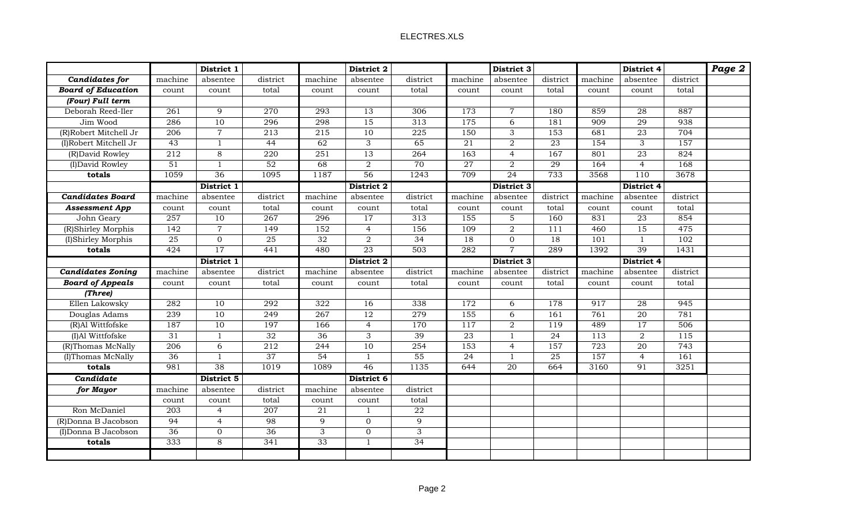|                           | District 1       |                 |                  | District 2      |                  |                           | District 3       |                 |                 | District 4 |                 |          | Page 2 |
|---------------------------|------------------|-----------------|------------------|-----------------|------------------|---------------------------|------------------|-----------------|-----------------|------------|-----------------|----------|--------|
| Candidates for            | machine          | absentee        | district         | machine         | absentee         | district                  | machine          | absentee        | district        | machine    | absentee        | district |        |
| <b>Board of Education</b> | count            | count           | total            | count           | count            | total                     | count            | count           | total           | count      | count           | total    |        |
| (Four) Full term          |                  |                 |                  |                 |                  |                           |                  |                 |                 |            |                 |          |        |
| Deborah Reed-Iler         | $\overline{261}$ | 9               | 270              | 293             | 13               | 306                       | 173              | $\overline{7}$  | 180             | 859        | 28              | 887      |        |
| Jim Wood                  | 286              | $\overline{10}$ | 296              | 298             | 15               | 313                       | 175              | 6               | 181             | 909        | 29              | 938      |        |
| (R)Robert Mitchell Jr     | $\overline{206}$ | $\overline{7}$  | 213              | 215             | 10               | 225                       | 150              | 3               | 153             | 681        | 23              | 704      |        |
| (I)Robert Mitchell Jr     | 43               | $\mathbf{1}$    | 44               | 62              | 3                | 65                        | 21               | $\overline{2}$  | 23              | 154        | 3               | 157      |        |
| (R)David Rowley           | 212              | $\,8\,$         | 220              | 251             | 13               | 264                       | 163              | $\overline{4}$  | 167             | 801        | 23              | 824      |        |
| (I) David Rowley          | 51               | $\mathbf{1}$    | 52               | 68              | $\overline{2}$   | 70                        | 27               | $\overline{2}$  | 29              | 164        | $\overline{4}$  | 168      |        |
| totals                    | 1059             | 36              | 1095             | 1187            | $\overline{56}$  | 1243                      | 709              | 24              | 733             | 3568       | 110             | 3678     |        |
|                           |                  | District 1      |                  |                 | District 2       |                           | District 3       |                 |                 | District 4 |                 |          |        |
| <b>Candidates Board</b>   | machine          | absentee        | district         | machine         | absentee         | district                  | machine          | absentee        | district        | machine    | absentee        | district |        |
| <b>Assessment App</b>     | count            | count           | total            | count           | count            | total                     | count            | count           | total           | count      | count           | total    |        |
| John Geary                | $\overline{257}$ | 10              | 267              | 296             | 17               | 313                       | 155              | 5               | 160             | 831        | 23              | 854      |        |
| (R)Shirley Morphis        | 142              | $\overline{7}$  | 149              | 152             | $\overline{4}$   | 156                       | 109              | $\overline{2}$  | 111             | 460        | 15              | 475      |        |
| (I)Shirley Morphis        | $\overline{25}$  | $\overline{0}$  | $\overline{25}$  | $\overline{32}$ | $\overline{2}$   | $\overline{34}$           | 18               | $\overline{0}$  | 18              | 101        | $\mathbf{1}$    | 102      |        |
| totals                    | 424              | 17              | 441              | 480             | $\overline{23}$  | $\overline{503}$          | 282              | $\overline{7}$  | 289             | 1392       | 39              | 1431     |        |
|                           | District 1       |                 | District 2       |                 |                  | District 3                |                  |                 | District 4      |            |                 |          |        |
| <b>Candidates Zoning</b>  | machine          | absentee        | district         | machine         | absentee         | district                  | machine          | absentee        | district        | machine    | absentee        | district |        |
| <b>Board of Appeals</b>   | count            | $\text{count}$  | total            | count           | count            | total                     | count            | count           | total           | count      | count           | total    |        |
| (Three)                   |                  |                 |                  |                 |                  |                           |                  |                 |                 |            |                 |          |        |
| Ellen Lakowsky            | 282              | 10              | 292              | 322             | 16               | 338                       | 172              | 6               | 178             | 917        | 28              | 945      |        |
| Douglas Adams             | 239              | 10              | $\overline{249}$ | 267             | $\overline{12}$  | 279                       | $\overline{155}$ | 6               | 161             | 761        | $\overline{20}$ | 781      |        |
| (R)Al Wittfofske          | 187              | 10              | 197              | 166             | $\overline{4}$   | 170                       | 117              | $\overline{a}$  | 119             | 489        | $\overline{17}$ | 506      |        |
| (I)Al Wittfofske          | 31               | $\mathbf{1}$    | $\overline{32}$  | 36              | $\overline{3}$   | 39                        | 23               | $\mathbf{1}$    | $\overline{24}$ | 113        | $\overline{2}$  | 115      |        |
| (R)Thomas McNally         | 206              | 6               | 212              | 244             | $\overline{10}$  | 254                       | 153              | $\overline{4}$  | 157             | 723        | $\overline{20}$ | 743      |        |
| (I)Thomas McNally         | $\overline{36}$  | $\mathbf{1}$    | $\overline{37}$  | $\overline{54}$ | $\mathbf{1}$     | $\overline{55}$           | 24               | $\mathbf{1}$    | 25              | 157        | $\overline{4}$  | 161      |        |
| totals                    | 981              | 38              | 1019             | 1089            | 46               | 1135                      | 644              | $\overline{20}$ | 664             | 3160       | $\overline{91}$ | 3251     |        |
| Candidate                 |                  | District 5      |                  |                 | District 6       |                           |                  |                 |                 |            |                 |          |        |
| for Mayor                 | machine          | absentee        | district         | machine         | absentee         | district                  |                  |                 |                 |            |                 |          |        |
|                           | count            | count           | total            | count           | count            | total                     |                  |                 |                 |            |                 |          |        |
| Ron McDaniel              | 203              | $\overline{4}$  | 207              | 21              | $\mathbf{1}$     | ${\bf 22}$                |                  |                 |                 |            |                 |          |        |
| (R)Donna B Jacobson       | 94               | $\overline{4}$  | 98               | 9               | $\overline{0}$   | 9                         |                  |                 |                 |            |                 |          |        |
| (I)Donna B Jacobson       | $\overline{36}$  | $\overline{0}$  | 36               | 3               | $\boldsymbol{0}$ | $\ensuremath{\mathsf{3}}$ |                  |                 |                 |            |                 |          |        |
| totals                    | 333              | $\,8\,$         | 341              | 33              | $\mathbf{1}$     | 34                        |                  |                 |                 |            |                 |          |        |
|                           |                  |                 |                  |                 |                  |                           |                  |                 |                 |            |                 |          |        |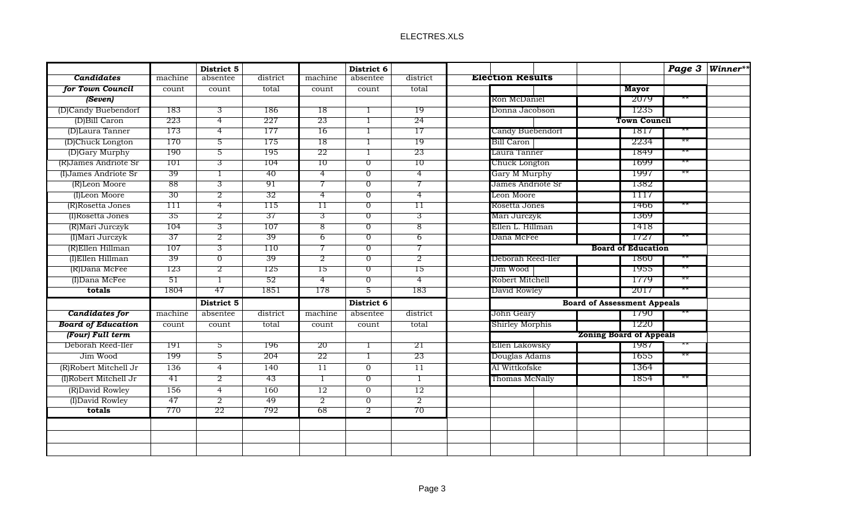|                           |                  | District 5     |          |                 | District 6     |                 |                                    |      | Page 3 Winner** |
|---------------------------|------------------|----------------|----------|-----------------|----------------|-----------------|------------------------------------|------|-----------------|
| <b>Candidates</b>         | machine          | absentee       | district | machine         | absentee       | district        | <b>Election Results</b>            |      |                 |
| for Town Council          | count            | count          | total    | count           | count          | total           | <b>Mayor</b>                       |      |                 |
| (Seven)                   |                  |                |          |                 |                |                 | Ron McDaniel<br>-2079              |      |                 |
| (D)Candy Buebendorf       | 183              | 3              | 186      | 18              |                | 19              | Donna Jacobson<br>1235             |      |                 |
| (D)Bill Caron             | 223              | $\overline{4}$ | 227      | 23              | 1              | 24              | <b>Town Council</b>                |      |                 |
| (D)Laura Tanner           | 173              | $\overline{4}$ | 177      | 16              | -1             | 17              | Candy Buebendorf<br>-1817          |      |                 |
| (D)Chuck Longton          | 170              | 5              | 175      | 18              | -1             | 19              | Bill Caron<br>2234                 |      |                 |
| (D)Gary Murphy            | 190              | $\overline{5}$ | 195      | 22              | 1              | 23              | 1849<br>Laura Tanner               |      |                 |
| (R) James Andriote Sr     | 101              | 3              | 104      | 10              | $\overline{0}$ | 10              | Chuck Longton<br>-1699             |      |                 |
| (I) James Andriote Sr     | 39               | -1             | 40       | $\overline{4}$  | $\overline{0}$ | $\overline{4}$  | -1997<br>Gary M Murphy             |      |                 |
| (R)Leon Moore             | 88               | $\overline{3}$ | 91       | 7               | $\overline{0}$ | 7               | James Andriote Sr<br>-1382         |      |                 |
| (I)Leon Moore             | 30               | $\overline{2}$ | 32       | $\overline{4}$  | $\overline{0}$ | $\overline{4}$  | Leon Moore<br>TI 17                |      |                 |
| (R)Rosetta Jones          | $\overline{111}$ | $\overline{4}$ | 115      | $\overline{11}$ | $\overline{0}$ | 11              | Rosetta Jones<br>1466              |      |                 |
| (I)Rosetta Jones          | 35               | $\overline{2}$ | 37       | $\overline{3}$  | $\overline{0}$ | $\overline{3}$  | Mari Jurczyk<br>1369               |      |                 |
| (R) Mari Jurczyk          | 104              | $\overline{3}$ | 107      | 8               | $\overline{0}$ | $\overline{8}$  | Ellen L. Hillman<br>1418           |      |                 |
| (I) Mari Jurczyk          | 37               | $\overline{2}$ | 39       | $6\overline{6}$ | $\overline{0}$ | 6               | Dana McFee<br>-1727                |      |                 |
| (R)Ellen Hillman          | 107              | $\overline{3}$ | 110      | 7               | $\overline{0}$ | 7               | <b>Board of Education</b>          |      |                 |
| (I)Ellen Hillman          | 39               | $\overline{0}$ | 39       | $\overline{2}$  | $\overline{0}$ | $\overline{2}$  | Deborah Reed-Iler<br>1860          |      |                 |
| (R)Dana McFee             | 123              | $\overline{2}$ | 125      | 15              | $\overline{0}$ | 15              | 1955<br>Jim Wood                   |      |                 |
| (I)Dana McFee             | 51               | $\overline{1}$ | 52       | $\overline{4}$  | $\overline{0}$ | 4               | Robert Mitchell<br>1779            |      |                 |
| totals                    | 1804             | 47             | 1851     | 178             | 5              | 183             | David Rowley<br>2017               |      |                 |
|                           |                  | District 5     |          |                 | District 6     |                 | <b>Board of Assessment Appeals</b> |      |                 |
| Candidates for            | machine          | absentee       | district | machine         | absentee       | district        | John Geary<br>-1790                |      |                 |
| <b>Board of Education</b> | count            | count          | total    | count           | count          | total           | Shirley Morphis<br>1220            |      |                 |
| (Four) Full term          |                  |                |          |                 |                |                 | <b>Zoning Board of Appeals</b>     |      |                 |
| Deborah Reed-Iler         | 191              | 5              | 196      | 20              | 1              | 21              | Ellen Lakowsky<br>-1987            | $**$ |                 |
| Jim Wood                  | 199              | 5              | 204      | 22              | 1              | 23              | Douglas Adams<br>1655              |      |                 |
| (R)Robert Mitchell Jr     | 136              | $\overline{4}$ | 140      | 11              | $\mathbf{0}$   | $\overline{11}$ | 1364<br>Al Wittkofske              |      |                 |
| (I)Robert Mitchell Jr     | 41               | $\overline{2}$ | 43       | 1               | $\overline{0}$ | -1              | Thomas McNally<br>1854             |      |                 |
| (R)David Rowley           | 156              | $\overline{4}$ | 160      | 12              | $\overline{0}$ | 12              |                                    |      |                 |
| (I) David Rowley          | 47               | $\overline{2}$ | 49       | $\overline{2}$  | $\overline{0}$ | $\overline{2}$  |                                    |      |                 |
| totals                    | 770              | 22             | 792      | 68              | $\overline{2}$ | 70              |                                    |      |                 |
|                           |                  |                |          |                 |                |                 |                                    |      |                 |
|                           |                  |                |          |                 |                |                 |                                    |      |                 |
|                           |                  |                |          |                 |                |                 |                                    |      |                 |
|                           |                  |                |          |                 |                |                 |                                    |      |                 |